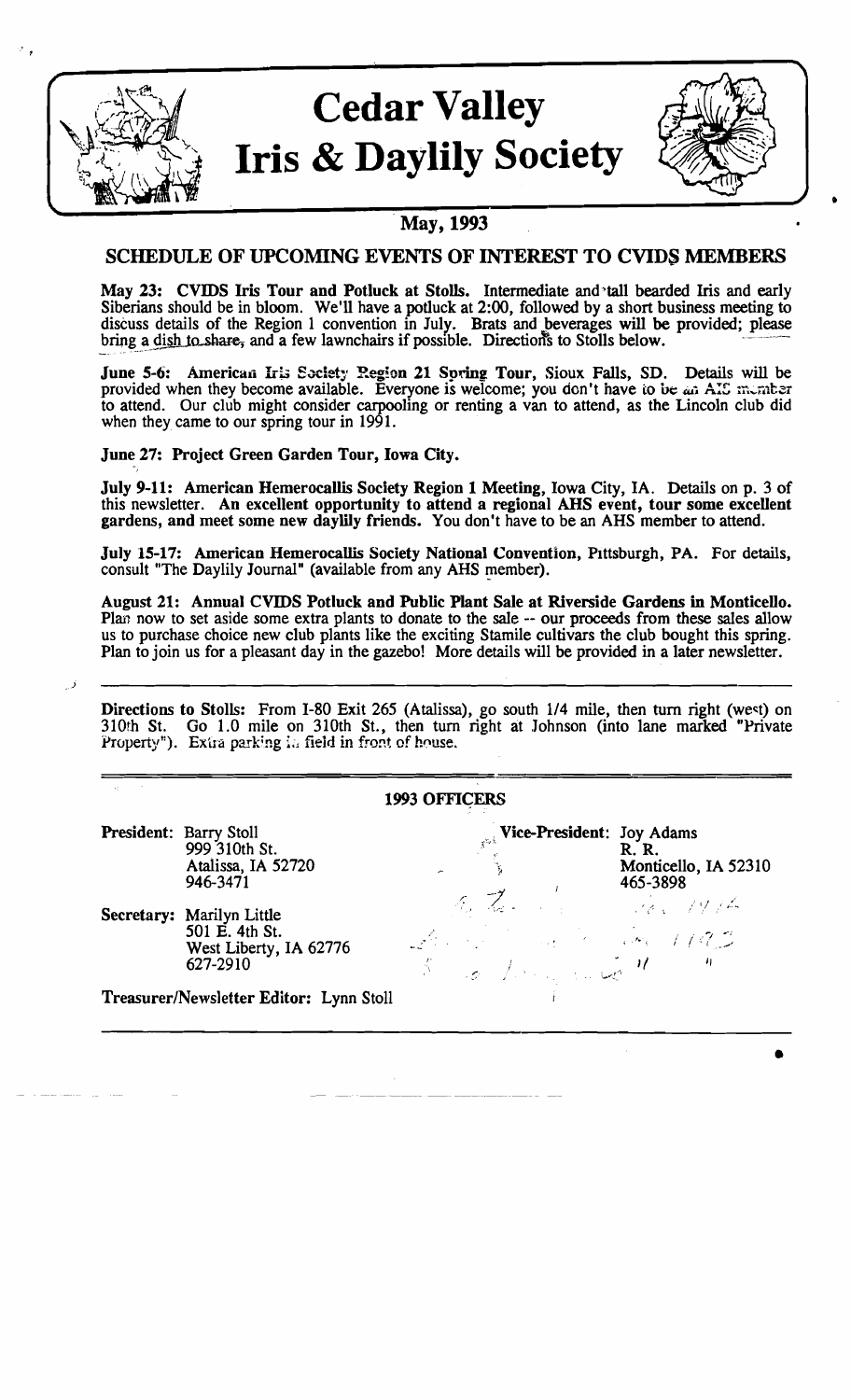

# **Cedar Valley Iris & Daylily Society**



•

## SCHEDULE OF UPCOMING EVENTS OF INTEREST TO CVIDS MEMBERS

May 23: CVIDS Iris Tour and Potluck at Stolls. Intermediate and'tall bearded Iris and early Siberians should be in bloom. We'll have a potluck at 2:00, followed by a short business meeting to discuss details of the Region 1 convention in July. Brats and beverages will be provided; please bring a dish to share, and a few lawnchairs if possible. Directions to Stolls below.

June 5-6: American Iris Society Region 21 Spring Tour, Sioux Falls, SD. Details will be provided when they become available. Everyone is welcome; you don't have to be an AIS member to attend. Our club might consider carpooling or renting a van to attend, as the Lincoln club did when they came to our spring tour in 1991.

June 27: Project Green Garden Tour, Iowa City.

July 9-11: American Hemerocallis Society Region 1 Meeting, Iowa City, IA. Details on p. 3 of this newsletter. An excellent opportunity to attend a regional AHS event, tour some excellent gardens, and meet some new daylily friends. You don't have to be an AHS member to attend.

July 15-17: American Hemerocallis Society National Convention, Pittsburgh, PA. For details, consult "The Daylily Journal" (available from any AHS member).

August 21: Annual CVIDS Potluck and Public Plant Sale at Riverside Gardens in Monticello. Plan now to set aside some extra plants to donate to the sale -- our proceeds from these sales allow us to purchase choice new club plants like the exciting Stamile cultivars the club bought this spring. Plan to join us for a pleasant day in the gazebo! More details will be provided in a later newsletter.

. J

Directions to Stolls: From I-80 Exit 265 (Atalissa), go south 1/4 mile, then turn right (west) on 310th *St.* Go 1.0 mile on 310th S1., then tum right at Johnson (into lane marked "Private Property"). Extra parking in field in front of house.

|                                         |                                                                                   | <b>1993 OFFICERS</b>                                                                                                        |                                                  |
|-----------------------------------------|-----------------------------------------------------------------------------------|-----------------------------------------------------------------------------------------------------------------------------|--------------------------------------------------|
| President: Barry Stoll                  | 999 310th St.<br>Atalissa, IA 52720<br>946-3471                                   | <b>Vice-President: Joy Adams</b>                                                                                            | <b>R. R.</b><br>Monticello, IA 52310<br>465-3898 |
|                                         | Secretary: Marilyn Little<br>501 E. 4th St.<br>West Liberty, IA 62776<br>627-2910 | $4\pi R_{\rm s}$ , $\frac{1}{100}$ , $\frac{1}{100}$ , $\frac{1}{100}$<br>Array Committee Committee 1993<br>Some form and " | $\boldsymbol{\eta}$                              |
| Treasurer/Newsletter Editor: Lynn Stoll |                                                                                   |                                                                                                                             |                                                  |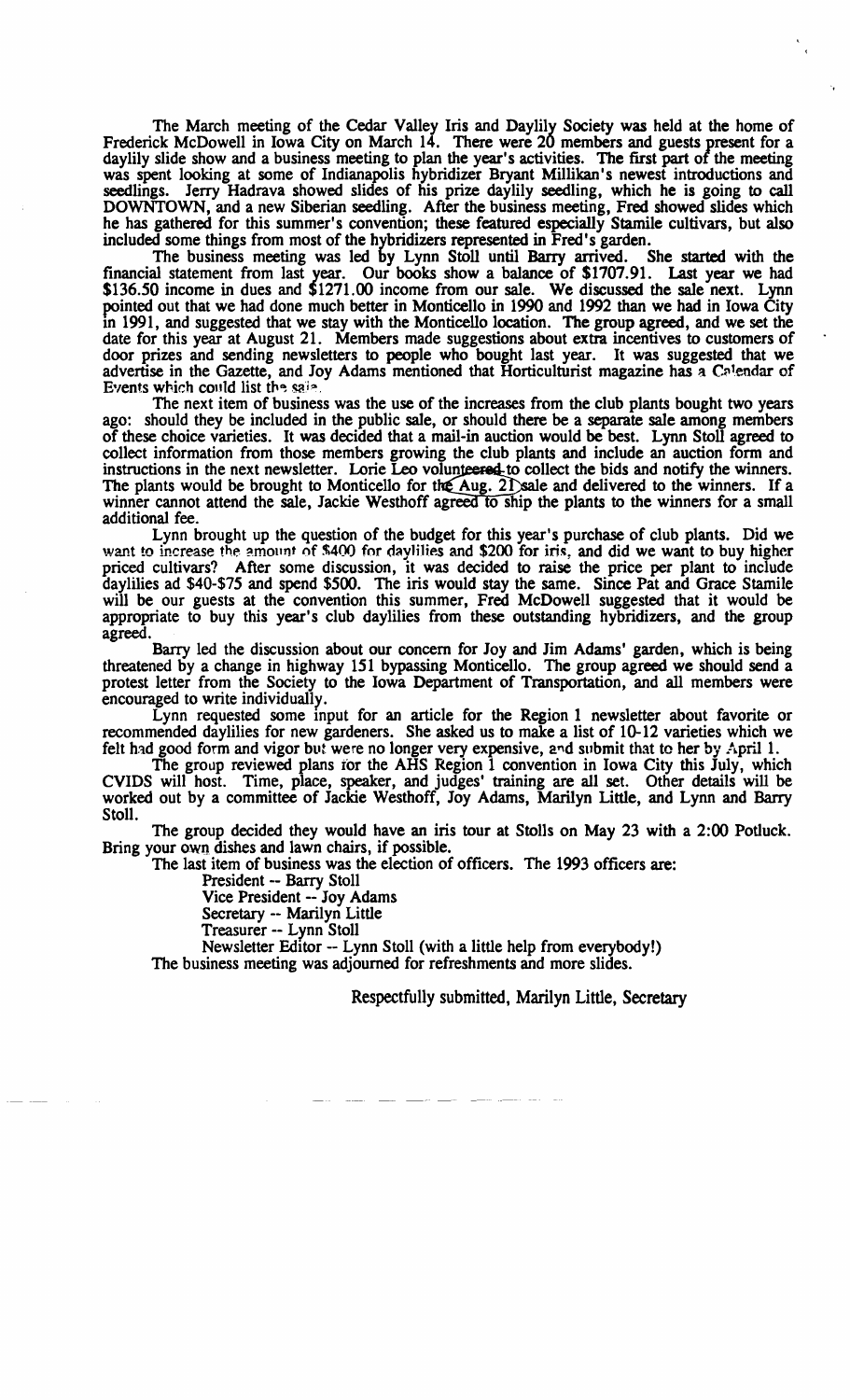The March meeting of the Cedar Valley Iris and Daylily Society was held at the home of Frederick McDowell in Iowa City on March 14. There were 20 members and guests present for a daylily slide show and a business meeting to plan the year's activities. The first part of the meeting was spent looking at some of Indianapolis hybridizer Bryant Millikan's newest introductions and seedlings. Jerry Hadrava showed slides of his prize daylily seedling, which he is going to call DOWNTOWN, and a new Siberian seedling. After the business meeting, Fred showed slides which he has gathered for this summer's convention; these featured especially Stamile cultivars, but also included some things from most of the hybridizers represented in Fred's garden.

The business meeting was led by Lynn Stoll until Barry arrived. She started with the financial statement from last year. Our books show a balance of \$1707.91. Last year we had \$136.50 income in dues and \$1271.00 income from our sale. We discussed the sale next. Lynn pointed out that we had done much better in Monticello in 1990 and 1992 than we had in Iowa City 10 1991, and suggested that we stay with the Monticello location. The group agreed, and we set the date for this year at August 21. Members made suggestions about extra incentives to customers of door prizes and sending newsletters to people who bought last year. It was suggested that we advertise in the Gazette, and Joy Adams mentioned that Horticulturist magazine has a C<sup>\*</sup>lendar of Events which could list the said.

The next item of business was the use of the increases from the club plants bought two years ago: should they be included in the public sale, or should there be a separate sale among members of these choice varieties. It was decided that a mail-in auction would be best. Lynn Stoll agreed to collect information from those members growing the club plants and include an auction form and instructions in the next newsletter. Lorie Leo volunte and collect the bids and notify the winners. The plants would be brought to Monticello for the Aug. 21 sale and delivered to the winners. If a winner cannot attend the sale, Jackie Westhoff agreed to ship the plants to the winners for a small additional fee.

Lynn brought up the question of the budget for this year's purchase of club plants. Did we want to increase the amount of \$400 for daylilies and \$200 for iris, and did we want to buy higher priced cultivars? After some discussion, it was decided to raise the price per plant to include daylilies ad \$40-\$75 and spend \$500. The iris would stay the same. Since Pat and Grace Stamile will be our guests at the convention this summer, Fred McDowell suggested that it would be appropriate to buy this year's club daylilies from these outstanding hybridizers, and the group agreed.

Barry led the discussion about our concern for Joy and Jim Adams' garden, which is being threatened by a change in highway 151 bypassing Monticello. The group agreed we should send a protest letter from the Society to the Iowa Department of Transportation, and all members were encouraged to write individually.

Lynn requested some input for an article for the Region 1 newsletter about favorite or recommended daylilies for new gardeners. She asked us to make a list of 10-12 varieties which we felt had good form and vigor but were no longer very expensive, and submit that to her by April 1.

The group reviewed plans for the AHS Region 1 convention in Iowa City this July, which CVIDS will host. Time, place, speaker, and judges' training are all set. Other details will be worked out by a committee of Jackie Westhoff, Joy Adams, Marilyn Little, and Lynn and Barry Stoll.

The group decided they would have an iris tour at Stolls on May 23 with a 2:00 Potluck. Bring your own dishes and lawn chairs, if possible.

The last item of business was the election of officers. The 1993 officers are:

President -- Barry Stoll

Vice President -- Joy Adams

Secretary -- Marilyn Little

Treasurer -- Lynn Stoll

Newsletter Editor -- Lynn Stoll (with a little help from everybody!) The business meeting was adjourned for refreshments and more slides.

Respectfully submitted, Marilyn Little, Secretary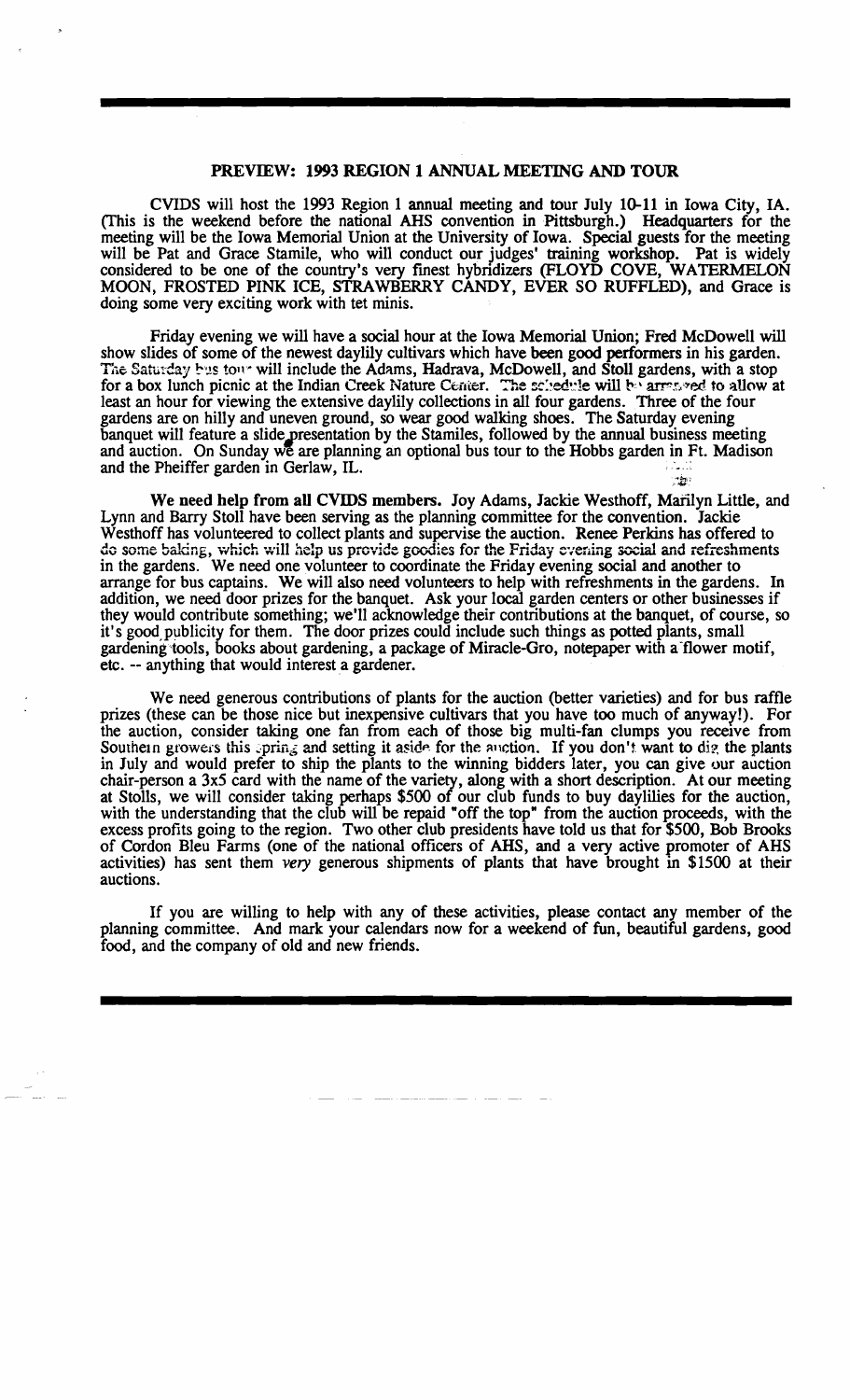#### PREVIEW: 1993 REGION 1 ANNUAL MEETING AND TOUR

CVIDS will host the 1993 Region 1 annual meeting and tour July 10-11 in Iowa City, IA. (This is the weekend before the national AHS convention in Pittsburgh.) Headquarters for the meeting will be the Iowa Memorial Union at the University of Iowa. Special guests for the meeting will be Pat and Grace Stamile, who will conduct our judges' training workshop. Pat is widely considered to be one of the country's very fmest hybridizers (FLOYD COVE, WATERMELON MOON, FROSTED PINK ICE, STRAWBERRY CANDY, EVER SO RUFFLED), and Grace is doing some very exciting work with tet minis.

Friday evening we will have a social hour at the Iowa Memorial Union; Fred McDowell will show slides of some of the newest daylily cultivars which have been good performers in his garden. The Saturday bus tour will include the Adams, Hadrava, McDowell, and Stoll gardens, with a stop for a box lunch picnic at the Indian Creek Nature Center. The schedwie will be arrested to allow at least an hour for viewing the extensive daylily collections in all four gardens. Three of the four gardens are on hilly and uneven ground, so wear good walking shoes. The Saturday evening banquet will feature a slide presentation by the Stamiles, followed by the annual business meeting and auction. On Sunday we are planning an optional bus tour to the Hobbs garden in Ft. Madison and the Pheiffer garden in Gerlaw, IL.  $\blacksquare$ ;::t;::

We need help from all CVIDS members. Joy Adams, Jackie Westhoff, Marilyn Little, and Lynn and Barry Stoll have been serving as the planning committee for the convention. Jackie Westhoff has volunteered to collect plants and supervise the auction. Renee Perkins has offered to do some baking, which will help us provide goodies for the Friday evening social and refreshments in the gardens. We need one volunteer to coordinate the Friday evening social and another to arrange for bus captains. We will also need volunteers to help with refreshments in the gardens. In addition, we need door prizes for the banquet. Ask your local garden centers or other businesses if they would contribute something; we'll acknowledge their contributions at the banquet, of course, so it's good,publicity for them. The door prizes could include such things as potted plants, small gardening tools, books about gardening, a package of Miracle-Gro, notepaper with a flower motif, etc. -- anything that would interest a gardener.

We need generous contributions of plants for the auction (better varieties) and for bus raffle prizes (these can be those nice but inexpensive cultivars that you have too much of anyway!). For the auction, consider taking one fan from each of those big multi-fan clumps you receive from Southern growers this pring and setting it aside for the auction. If you don't want to dig the plants in July and would prefer to ship the plants to the winning bidders later, you can give our auction chair-person a 3x5 card with the name of the variety, along with a short description. At our meeting at Stolls, we will consider taking perhaps \$500 of our club funds to buy daylilies for the auction, with the understanding that the club will be repaid "off the top" from the auction proceeds, with the excess profits going to the region. Two other club presidents have told us that for \$500, Bob Brooks of Cordon Bleu Farms (one of the national officers of AHS, and a very active promoter of AHS activities) has sent them very generous shipments of plants that have brought in \$1500 at their auctions.

If you are willing to help with any of these activities, please contact any member of the planning committee. And mark your calendars now for a weekend of fun, beautiful gardens, good food, and the company of old and new friends.